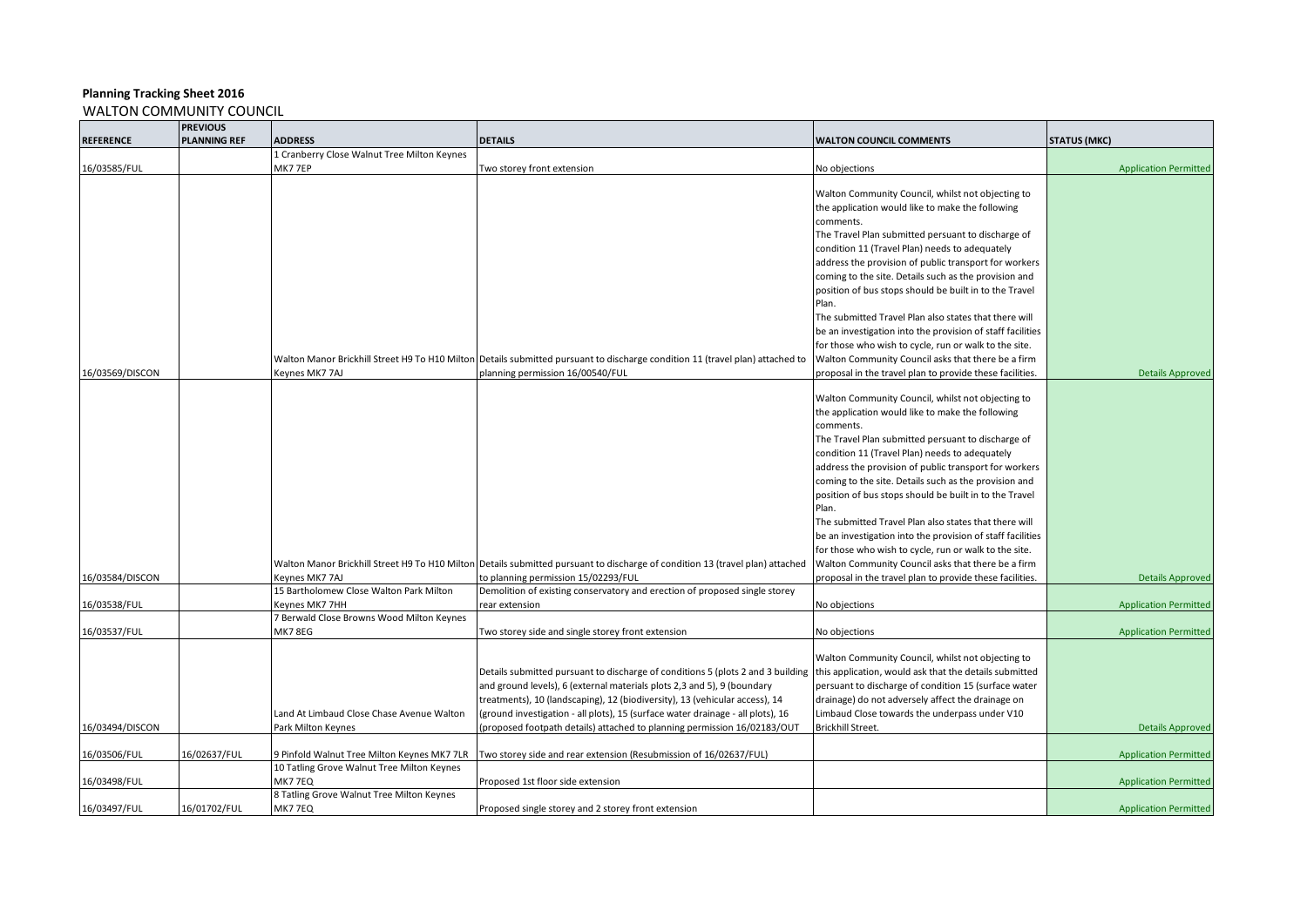|                  | <b>PREVIOUS</b>     |                                             |                                                                                                                                          |                                                            |                              |
|------------------|---------------------|---------------------------------------------|------------------------------------------------------------------------------------------------------------------------------------------|------------------------------------------------------------|------------------------------|
| <b>REFERENCE</b> | <b>PLANNING REF</b> | <b>ADDRESS</b>                              | <b>DETAILS</b>                                                                                                                           | <b>WALTON COUNCIL COMMENTS</b>                             | <b>STATUS (MKC)</b>          |
|                  |                     | 1 Cranberry Close Walnut Tree Milton Keynes |                                                                                                                                          |                                                            |                              |
| 16/03585/FUL     |                     | MK77EP                                      | Two storey front extension                                                                                                               | No objections                                              | <b>Application Permitted</b> |
|                  |                     |                                             |                                                                                                                                          |                                                            |                              |
|                  |                     |                                             |                                                                                                                                          | Walton Community Council, whilst not objecting to          |                              |
|                  |                     |                                             |                                                                                                                                          | the application would like to make the following           |                              |
|                  |                     |                                             |                                                                                                                                          | comments.                                                  |                              |
|                  |                     |                                             |                                                                                                                                          | The Travel Plan submitted persuant to discharge of         |                              |
|                  |                     |                                             |                                                                                                                                          | condition 11 (Travel Plan) needs to adequately             |                              |
|                  |                     |                                             |                                                                                                                                          | address the provision of public transport for workers      |                              |
|                  |                     |                                             |                                                                                                                                          | coming to the site. Details such as the provision and      |                              |
|                  |                     |                                             |                                                                                                                                          | position of bus stops should be built in to the Travel     |                              |
|                  |                     |                                             |                                                                                                                                          | Plan.                                                      |                              |
|                  |                     |                                             |                                                                                                                                          | The submitted Travel Plan also states that there will      |                              |
|                  |                     |                                             |                                                                                                                                          | be an investigation into the provision of staff facilities |                              |
|                  |                     |                                             |                                                                                                                                          | for those who wish to cycle, run or walk to the site.      |                              |
|                  |                     |                                             | Walton Manor Brickhill Street H9 To H10 Milton Details submitted pursuant to discharge condition 11 (travel plan) attached to            | Walton Community Council asks that there be a firm         |                              |
| 16/03569/DISCON  |                     | Keynes MK7 7AJ                              |                                                                                                                                          |                                                            | <b>Details Approved</b>      |
|                  |                     |                                             | planning permission 16/00540/FUL                                                                                                         | proposal in the travel plan to provide these facilities.   |                              |
|                  |                     |                                             |                                                                                                                                          | Walton Community Council, whilst not objecting to          |                              |
|                  |                     |                                             |                                                                                                                                          | the application would like to make the following           |                              |
|                  |                     |                                             |                                                                                                                                          | comments.                                                  |                              |
|                  |                     |                                             |                                                                                                                                          |                                                            |                              |
|                  |                     |                                             |                                                                                                                                          | The Travel Plan submitted persuant to discharge of         |                              |
|                  |                     |                                             |                                                                                                                                          | condition 11 (Travel Plan) needs to adequately             |                              |
|                  |                     |                                             |                                                                                                                                          | address the provision of public transport for workers      |                              |
|                  |                     |                                             |                                                                                                                                          | coming to the site. Details such as the provision and      |                              |
|                  |                     |                                             |                                                                                                                                          | position of bus stops should be built in to the Travel     |                              |
|                  |                     |                                             |                                                                                                                                          | Plan.                                                      |                              |
|                  |                     |                                             |                                                                                                                                          | The submitted Travel Plan also states that there will      |                              |
|                  |                     |                                             |                                                                                                                                          | be an investigation into the provision of staff facilities |                              |
|                  |                     |                                             |                                                                                                                                          | for those who wish to cycle, run or walk to the site.      |                              |
|                  |                     |                                             | Walton Manor Brickhill Street H9 To H10 Milton Details submitted pursuant to discharge of condition 13 (travel plan) attached            | Walton Community Council asks that there be a firm         |                              |
| 16/03584/DISCON  |                     | Keynes MK7 7AJ                              | to planning permission 15/02293/FUL                                                                                                      | proposal in the travel plan to provide these facilities.   | <b>Details Approved</b>      |
|                  |                     | 15 Bartholomew Close Walton Park Milton     | Demolition of existing conservatory and erection of proposed single storey                                                               |                                                            |                              |
| 16/03538/FUL     |                     | Keynes MK7 7HH                              | rear extension                                                                                                                           | No objections                                              | <b>Application Permitted</b> |
|                  |                     | 7 Berwald Close Browns Wood Milton Keynes   |                                                                                                                                          |                                                            |                              |
| 16/03537/FUL     |                     | MK7 8EG                                     | Two storey side and single storey front extension                                                                                        | No objections                                              | <b>Application Permitted</b> |
|                  |                     |                                             |                                                                                                                                          |                                                            |                              |
|                  |                     |                                             |                                                                                                                                          | Walton Community Council, whilst not objecting to          |                              |
|                  |                     |                                             | Details submitted pursuant to discharge of conditions 5 (plots 2 and 3 building   this application, would ask that the details submitted |                                                            |                              |
|                  |                     |                                             | and ground levels), 6 (external materials plots 2,3 and 5), 9 (boundary                                                                  | persuant to discharge of condition 15 (surface water       |                              |
|                  |                     |                                             | treatments), 10 (landscaping), 12 (biodiversity), 13 (vehicular access), 14                                                              | drainage) do not adversely affect the drainage on          |                              |
|                  |                     | Land At Limbaud Close Chase Avenue Walton   | (ground investigation - all plots), 15 (surface water drainage - all plots), 16                                                          | Limbaud Close towards the underpass under V10              |                              |
| 16/03494/DISCON  |                     | Park Milton Keynes                          | (proposed footpath details) attached to planning permission 16/02183/OUT                                                                 | Brickhill Street.                                          | <b>Details Approved</b>      |
|                  |                     |                                             |                                                                                                                                          |                                                            |                              |
| 16/03506/FUL     | 16/02637/FUL        | 9 Pinfold Walnut Tree Milton Keynes MK7 7LR | Two storey side and rear extension (Resubmission of 16/02637/FUL)                                                                        |                                                            | <b>Application Permitted</b> |
|                  |                     | 10 Tatling Grove Walnut Tree Milton Keynes  |                                                                                                                                          |                                                            |                              |
| 16/03498/FUL     |                     | MK7 7EQ                                     | Proposed 1st floor side extension                                                                                                        |                                                            | <b>Application Permitted</b> |
|                  |                     | 8 Tatling Grove Walnut Tree Milton Keynes   |                                                                                                                                          |                                                            |                              |
| 16/03497/FUL     | 16/01702/FUL        | MK7 7EQ                                     | Proposed single storey and 2 storey front extension                                                                                      |                                                            | <b>Application Permitted</b> |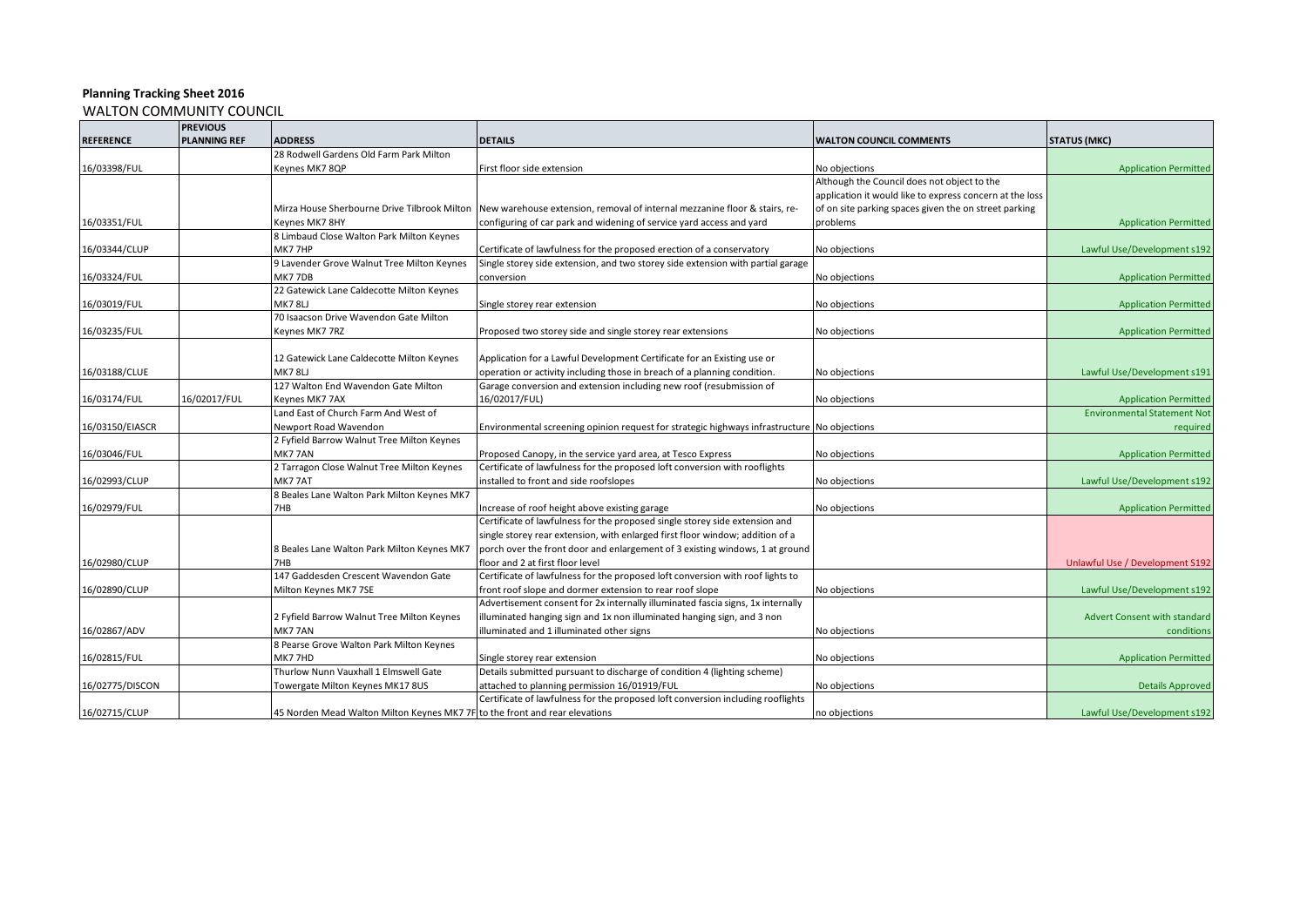|                  | <b>PREVIOUS</b>     |                                                                             |                                                                                             |                                                          |                                     |
|------------------|---------------------|-----------------------------------------------------------------------------|---------------------------------------------------------------------------------------------|----------------------------------------------------------|-------------------------------------|
| <b>REFERENCE</b> | <b>PLANNING REF</b> | <b>ADDRESS</b>                                                              | <b>DETAILS</b>                                                                              | <b>WALTON COUNCIL COMMENTS</b>                           | <b>STATUS (MKC)</b>                 |
|                  |                     | 28 Rodwell Gardens Old Farm Park Milton                                     |                                                                                             |                                                          |                                     |
| 16/03398/FUL     |                     | Keynes MK7 8QP                                                              | First floor side extension                                                                  | No objections                                            | <b>Application Permitted</b>        |
|                  |                     |                                                                             |                                                                                             | Although the Council does not object to the              |                                     |
|                  |                     |                                                                             |                                                                                             | application it would like to express concern at the loss |                                     |
|                  |                     | Mirza House Sherbourne Drive Tilbrook Milton                                | New warehouse extension, removal of internal mezzanine floor & stairs, re-                  | of on site parking spaces given the on street parking    |                                     |
| 16/03351/FUL     |                     | Keynes MK7 8HY                                                              | configuring of car park and widening of service yard access and yard                        | problems                                                 | <b>Application Permitted</b>        |
|                  |                     | 8 Limbaud Close Walton Park Milton Keynes                                   |                                                                                             |                                                          |                                     |
| 16/03344/CLUP    |                     | MK77HP                                                                      | Certificate of lawfulness for the proposed erection of a conservatory                       | No objections                                            | Lawful Use/Development s192         |
|                  |                     | 9 Lavender Grove Walnut Tree Milton Keynes                                  | Single storey side extension, and two storey side extension with partial garage             |                                                          |                                     |
| 16/03324/FUL     |                     | MK77DB                                                                      | conversion                                                                                  | No objections                                            | <b>Application Permitted</b>        |
|                  |                     | 22 Gatewick Lane Caldecotte Milton Keynes                                   |                                                                                             |                                                          |                                     |
| 16/03019/FUL     |                     | MK78LJ                                                                      | Single storey rear extension                                                                | No objections                                            | <b>Application Permitted</b>        |
|                  |                     | 70 Isaacson Drive Wavendon Gate Milton                                      |                                                                                             |                                                          |                                     |
| 16/03235/FUL     |                     | Keynes MK7 7RZ                                                              | Proposed two storey side and single storey rear extensions                                  | No objections                                            | <b>Application Permitted</b>        |
|                  |                     |                                                                             |                                                                                             |                                                          |                                     |
|                  |                     | 12 Gatewick Lane Caldecotte Milton Keynes                                   | Application for a Lawful Development Certificate for an Existing use or                     |                                                          |                                     |
| 16/03188/CLUE    |                     | MK78LJ                                                                      | operation or activity including those in breach of a planning condition.                    | No objections                                            | Lawful Use/Development s191         |
|                  |                     | 127 Walton End Wavendon Gate Milton                                         | Garage conversion and extension including new roof (resubmission of                         |                                                          |                                     |
| 16/03174/FUL     | 16/02017/FUL        | Keynes MK7 7AX                                                              | 16/02017/FUL)                                                                               | No objections                                            | <b>Application Permitted</b>        |
|                  |                     | Land East of Church Farm And West of                                        |                                                                                             |                                                          | <b>Environmental Statement Not</b>  |
| 16/03150/EIASCR  |                     | Newport Road Wavendon                                                       | Environmental screening opinion request for strategic highways infrastructure No objections |                                                          | required                            |
|                  |                     | 2 Fyfield Barrow Walnut Tree Milton Keynes                                  |                                                                                             |                                                          |                                     |
| 16/03046/FUL     |                     | MK77AN                                                                      | Proposed Canopy, in the service yard area, at Tesco Express                                 | No objections                                            | <b>Application Permitted</b>        |
|                  |                     | 2 Tarragon Close Walnut Tree Milton Keynes                                  | Certificate of lawfulness for the proposed loft conversion with rooflights                  |                                                          |                                     |
| 16/02993/CLUP    |                     | MK77AT                                                                      | installed to front and side roofslopes                                                      | No objections                                            | Lawful Use/Development s192         |
|                  |                     | 8 Beales Lane Walton Park Milton Keynes MK7                                 |                                                                                             |                                                          |                                     |
| 16/02979/FUL     |                     | 7HB                                                                         | Increase of roof height above existing garage                                               | No objections                                            | <b>Application Permitted</b>        |
|                  |                     |                                                                             | Certificate of lawfulness for the proposed single storey side extension and                 |                                                          |                                     |
|                  |                     |                                                                             | single storey rear extension, with enlarged first floor window; addition of a               |                                                          |                                     |
|                  |                     | 8 Beales Lane Walton Park Milton Keynes MK7                                 | porch over the front door and enlargement of 3 existing windows, 1 at ground                |                                                          |                                     |
| 16/02980/CLUP    |                     | 7HB                                                                         | floor and 2 at first floor level                                                            |                                                          | Unlawful Use / Development S192     |
|                  |                     | 147 Gaddesden Crescent Wavendon Gate                                        | Certificate of lawfulness for the proposed loft conversion with roof lights to              |                                                          |                                     |
| 16/02890/CLUP    |                     | Milton Keynes MK7 7SE                                                       | front roof slope and dormer extension to rear roof slope                                    | No objections                                            | Lawful Use/Development s192         |
|                  |                     |                                                                             | Advertisement consent for 2x internally illuminated fascia signs, 1x internally             |                                                          |                                     |
|                  |                     | 2 Fyfield Barrow Walnut Tree Milton Keynes                                  | illuminated hanging sign and 1x non illuminated hanging sign, and 3 non                     |                                                          | <b>Advert Consent with standard</b> |
| 16/02867/ADV     |                     | MK777AN                                                                     | illuminated and 1 illuminated other signs                                                   | No objections                                            | conditions                          |
|                  |                     | 8 Pearse Grove Walton Park Milton Keynes                                    |                                                                                             |                                                          |                                     |
| 16/02815/FUL     |                     | MK77HD                                                                      | Single storey rear extension                                                                | No objections                                            | <b>Application Permitted</b>        |
|                  |                     | Thurlow Nunn Vauxhall 1 Elmswell Gate                                       | Details submitted pursuant to discharge of condition 4 (lighting scheme)                    |                                                          |                                     |
| 16/02775/DISCON  |                     | Towergate Milton Keynes MK17 8US                                            | attached to planning permission 16/01919/FUL                                                | No objections                                            | <b>Details Approved</b>             |
|                  |                     |                                                                             | Certificate of lawfulness for the proposed loft conversion including rooflights             |                                                          |                                     |
| 16/02715/CLUP    |                     | 45 Norden Mead Walton Milton Keynes MK7 7F to the front and rear elevations |                                                                                             | no objections                                            | Lawful Use/Development s192         |
|                  |                     |                                                                             |                                                                                             |                                                          |                                     |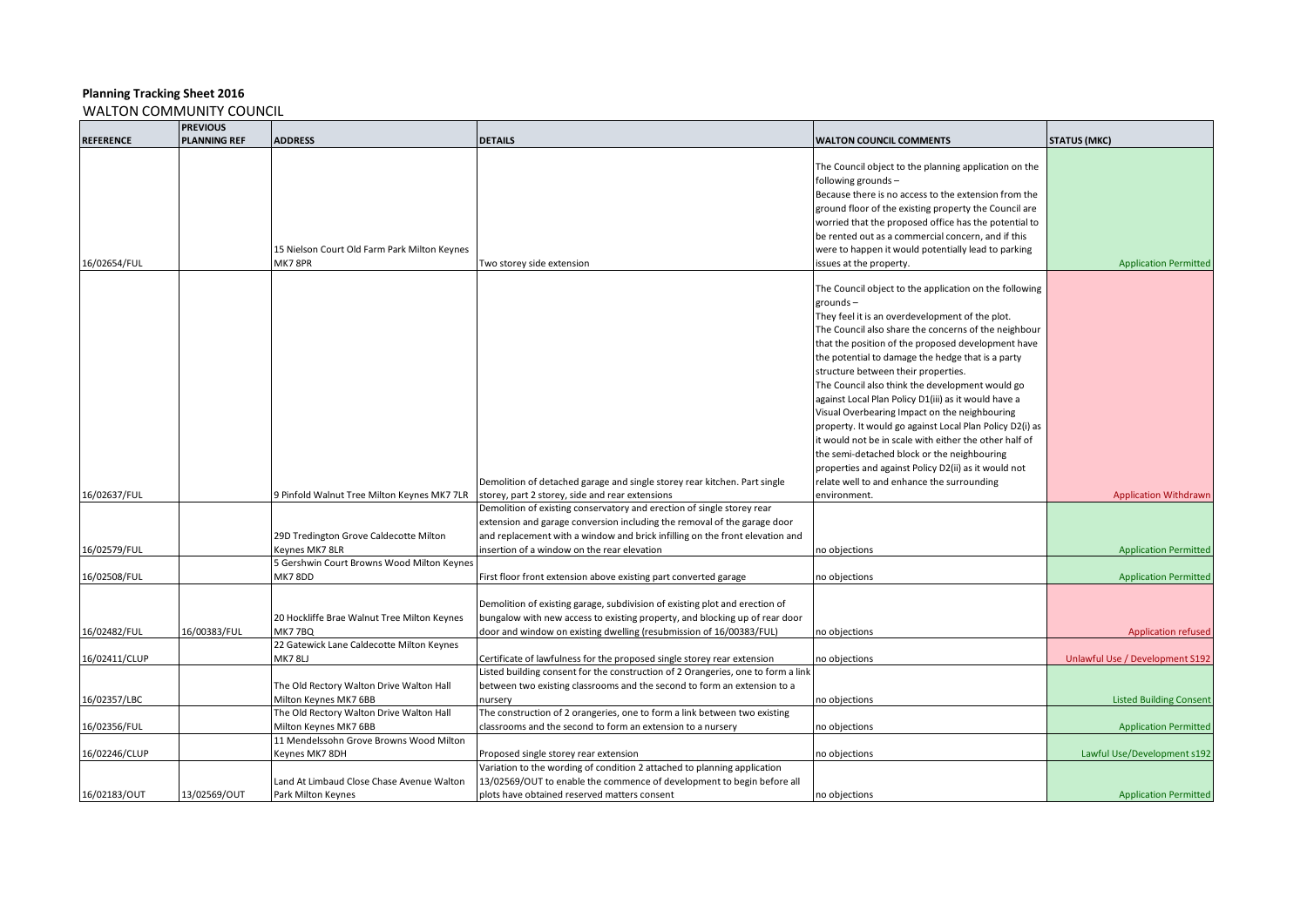|                  | <b>PREVIOUS</b>     |                                              |                                                                                  |                                                          |                                 |
|------------------|---------------------|----------------------------------------------|----------------------------------------------------------------------------------|----------------------------------------------------------|---------------------------------|
| <b>REFERENCE</b> | <b>PLANNING REF</b> | <b>ADDRESS</b>                               | <b>DETAILS</b>                                                                   | <b>WALTON COUNCIL COMMENTS</b>                           | <b>STATUS (MKC)</b>             |
|                  |                     |                                              |                                                                                  | The Council object to the planning application on the    |                                 |
|                  |                     |                                              |                                                                                  | following grounds-                                       |                                 |
|                  |                     |                                              |                                                                                  | Because there is no access to the extension from the     |                                 |
|                  |                     |                                              |                                                                                  | ground floor of the existing property the Council are    |                                 |
|                  |                     |                                              |                                                                                  | worried that the proposed office has the potential to    |                                 |
|                  |                     |                                              |                                                                                  | be rented out as a commercial concern, and if this       |                                 |
|                  |                     | 15 Nielson Court Old Farm Park Milton Keynes |                                                                                  | were to happen it would potentially lead to parking      |                                 |
| 16/02654/FUL     |                     | MK7 8PR                                      | Two storey side extension                                                        | issues at the property.                                  | <b>Application Permitted</b>    |
|                  |                     |                                              |                                                                                  | The Council object to the application on the following   |                                 |
|                  |                     |                                              |                                                                                  | $grounds -$                                              |                                 |
|                  |                     |                                              |                                                                                  | They feel it is an overdevelopment of the plot.          |                                 |
|                  |                     |                                              |                                                                                  | The Council also share the concerns of the neighbour     |                                 |
|                  |                     |                                              |                                                                                  | that the position of the proposed development have       |                                 |
|                  |                     |                                              |                                                                                  | the potential to damage the hedge that is a party        |                                 |
|                  |                     |                                              |                                                                                  | structure between their properties.                      |                                 |
|                  |                     |                                              |                                                                                  | The Council also think the development would go          |                                 |
|                  |                     |                                              |                                                                                  | against Local Plan Policy D1(iii) as it would have a     |                                 |
|                  |                     |                                              |                                                                                  | Visual Overbearing Impact on the neighbouring            |                                 |
|                  |                     |                                              |                                                                                  | property. It would go against Local Plan Policy D2(i) as |                                 |
|                  |                     |                                              |                                                                                  | it would not be in scale with either the other half of   |                                 |
|                  |                     |                                              |                                                                                  | the semi-detached block or the neighbouring              |                                 |
|                  |                     |                                              |                                                                                  | properties and against Policy D2(ii) as it would not     |                                 |
|                  |                     |                                              | Demolition of detached garage and single storey rear kitchen. Part single        | relate well to and enhance the surrounding               |                                 |
| 16/02637/FUL     |                     | 9 Pinfold Walnut Tree Milton Keynes MK7 7LR  | storey, part 2 storey, side and rear extensions                                  | environment.                                             | <b>Application Withdrawn</b>    |
|                  |                     |                                              | Demolition of existing conservatory and erection of single storey rear           |                                                          |                                 |
|                  |                     |                                              | extension and garage conversion including the removal of the garage door         |                                                          |                                 |
|                  |                     | 29D Tredington Grove Caldecotte Milton       | and replacement with a window and brick infilling on the front elevation and     |                                                          |                                 |
| 16/02579/FUL     |                     | Keynes MK7 8LR                               | insertion of a window on the rear elevation                                      | no objections                                            | <b>Application Permitted</b>    |
|                  |                     | 5 Gershwin Court Browns Wood Milton Keynes   |                                                                                  |                                                          |                                 |
| 16/02508/FUL     |                     | MK7 8DD                                      | First floor front extension above existing part converted garage                 | no objections                                            | <b>Application Permitted</b>    |
|                  |                     |                                              | Demolition of existing garage, subdivision of existing plot and erection of      |                                                          |                                 |
|                  |                     | 20 Hockliffe Brae Walnut Tree Milton Keynes  | bungalow with new access to existing property, and blocking up of rear door      |                                                          |                                 |
| 16/02482/FUL     | 16/00383/FUL        | <b>MK7 7BQ</b>                               | door and window on existing dwelling (resubmission of 16/00383/FUL)              | no objections                                            | <b>Application refused</b>      |
|                  |                     | 22 Gatewick Lane Caldecotte Milton Keynes    |                                                                                  |                                                          |                                 |
| 16/02411/CLUP    |                     | MK78LJ                                       | Certificate of lawfulness for the proposed single storey rear extension          | no objections                                            | Unlawful Use / Development S192 |
|                  |                     |                                              | Listed building consent for the construction of 2 Orangeries, one to form a link |                                                          |                                 |
|                  |                     | The Old Rectory Walton Drive Walton Hall     | between two existing classrooms and the second to form an extension to a         |                                                          |                                 |
| 16/02357/LBC     |                     | Milton Keynes MK7 6BB                        | nursery                                                                          | no objections                                            | <b>Listed Building Consent</b>  |
|                  |                     | The Old Rectory Walton Drive Walton Hall     | The construction of 2 orangeries, one to form a link between two existing        |                                                          |                                 |
| 16/02356/FUL     |                     | Milton Keynes MK7 6BB                        | classrooms and the second to form an extension to a nursery                      | no objections                                            | <b>Application Permitted</b>    |
|                  |                     | 11 Mendelssohn Grove Browns Wood Milton      |                                                                                  |                                                          |                                 |
| 16/02246/CLUP    |                     | Keynes MK7 8DH                               | Proposed single storey rear extension                                            | no objections                                            | Lawful Use/Development s192     |
|                  |                     |                                              | Variation to the wording of condition 2 attached to planning application         |                                                          |                                 |
|                  |                     | Land At Limbaud Close Chase Avenue Walton    | 13/02569/OUT to enable the commence of development to begin before all           |                                                          |                                 |
| 16/02183/OUT     | 13/02569/OUT        | Park Milton Keynes                           | plots have obtained reserved matters consent                                     | no objections                                            | <b>Application Permitted</b>    |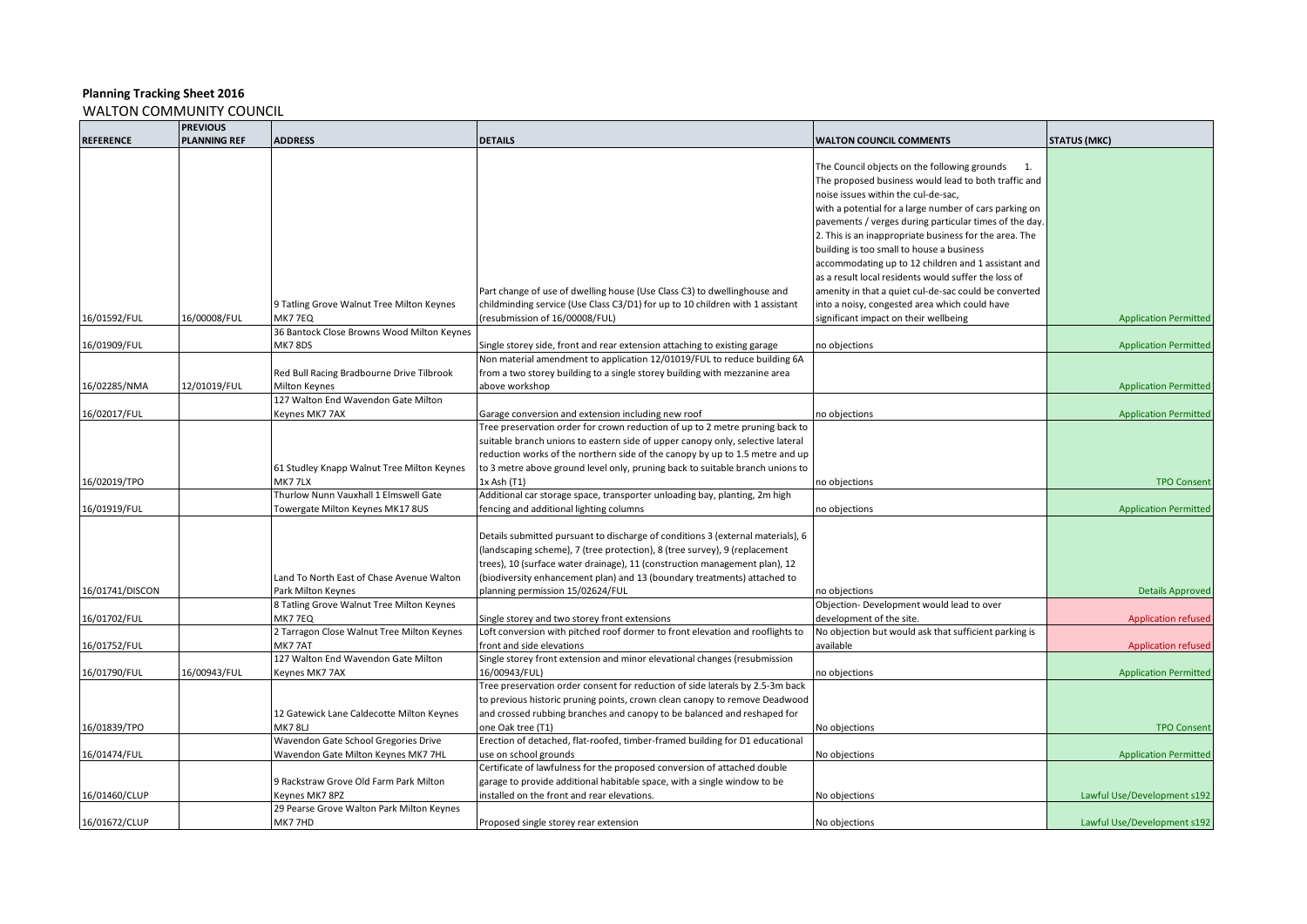|                  | <b>PREVIOUS</b>     |                                            |                                                                                 |                                                        |                              |
|------------------|---------------------|--------------------------------------------|---------------------------------------------------------------------------------|--------------------------------------------------------|------------------------------|
| <b>REFERENCE</b> | <b>PLANNING REF</b> | <b>ADDRESS</b>                             | <b>DETAILS</b>                                                                  | <b>WALTON COUNCIL COMMENTS</b>                         | <b>STATUS (MKC)</b>          |
|                  |                     |                                            |                                                                                 |                                                        |                              |
|                  |                     |                                            |                                                                                 | The Council objects on the following grounds 1.        |                              |
|                  |                     |                                            |                                                                                 | The proposed business would lead to both traffic and   |                              |
|                  |                     |                                            |                                                                                 | noise issues within the cul-de-sac,                    |                              |
|                  |                     |                                            |                                                                                 | with a potential for a large number of cars parking on |                              |
|                  |                     |                                            |                                                                                 | pavements / verges during particular times of the day. |                              |
|                  |                     |                                            |                                                                                 | 2. This is an inappropriate business for the area. The |                              |
|                  |                     |                                            |                                                                                 | building is too small to house a business              |                              |
|                  |                     |                                            |                                                                                 | accommodating up to 12 children and 1 assistant and    |                              |
|                  |                     |                                            |                                                                                 | as a result local residents would suffer the loss of   |                              |
|                  |                     |                                            | Part change of use of dwelling house (Use Class C3) to dwellinghouse and        | amenity in that a quiet cul-de-sac could be converted  |                              |
|                  |                     |                                            |                                                                                 |                                                        |                              |
|                  |                     | 9 Tatling Grove Walnut Tree Milton Keynes  | childminding service (Use Class C3/D1) for up to 10 children with 1 assistant   | into a noisy, congested area which could have          |                              |
| 16/01592/FUL     | 16/00008/FUL        | <b>MK7 7EQ</b>                             | (resubmission of 16/00008/FUL)                                                  | significant impact on their wellbeing                  | <b>Application Permitted</b> |
|                  |                     | 36 Bantock Close Browns Wood Milton Keynes |                                                                                 |                                                        |                              |
| 16/01909/FUL     |                     | <b>MK7 8DS</b>                             | Single storey side, front and rear extension attaching to existing garage       | no objections                                          | <b>Application Permitted</b> |
|                  |                     |                                            | Non material amendment to application 12/01019/FUL to reduce building 6A        |                                                        |                              |
|                  |                     | Red Bull Racing Bradbourne Drive Tilbrook  | from a two storey building to a single storey building with mezzanine area      |                                                        |                              |
| 16/02285/NMA     | 12/01019/FUL        | Milton Keynes                              | above workshop                                                                  |                                                        | <b>Application Permitted</b> |
|                  |                     | 127 Walton End Wavendon Gate Milton        |                                                                                 |                                                        |                              |
| 16/02017/FUL     |                     | Keynes MK7 7AX                             | Garage conversion and extension including new roof                              | no objections                                          | <b>Application Permitted</b> |
|                  |                     |                                            | Tree preservation order for crown reduction of up to 2 metre pruning back to    |                                                        |                              |
|                  |                     |                                            | suitable branch unions to eastern side of upper canopy only, selective lateral  |                                                        |                              |
|                  |                     |                                            | reduction works of the northern side of the canopy by up to 1.5 metre and up    |                                                        |                              |
|                  |                     | 61 Studley Knapp Walnut Tree Milton Keynes | to 3 metre above ground level only, pruning back to suitable branch unions to   |                                                        |                              |
| 16/02019/TPO     |                     | MK777LX                                    | 1x Ash (T1)                                                                     | no objections                                          | <b>TPO Consent</b>           |
|                  |                     | Thurlow Nunn Vauxhall 1 Elmswell Gate      | Additional car storage space, transporter unloading bay, planting, 2m high      |                                                        |                              |
| 16/01919/FUL     |                     | Towergate Milton Keynes MK17 8US           | fencing and additional lighting columns                                         | no objections                                          | <b>Application Permitted</b> |
|                  |                     |                                            |                                                                                 |                                                        |                              |
|                  |                     |                                            | Details submitted pursuant to discharge of conditions 3 (external materials), 6 |                                                        |                              |
|                  |                     |                                            | (landscaping scheme), 7 (tree protection), 8 (tree survey), 9 (replacement      |                                                        |                              |
|                  |                     |                                            | trees), 10 (surface water drainage), 11 (construction management plan), 12      |                                                        |                              |
|                  |                     | Land To North East of Chase Avenue Walton  | (biodiversity enhancement plan) and 13 (boundary treatments) attached to        |                                                        |                              |
| 16/01741/DISCON  |                     | Park Milton Keynes                         | planning permission 15/02624/FUL                                                | no objections                                          | <b>Details Approved</b>      |
|                  |                     | 8 Tatling Grove Walnut Tree Milton Keynes  |                                                                                 | Objection- Development would lead to over              |                              |
| 16/01702/FUL     |                     | MK77EQ                                     | Single storey and two storey front extensions                                   | development of the site.                               | <b>Application refused</b>   |
|                  |                     | 2 Tarragon Close Walnut Tree Milton Keynes | Loft conversion with pitched roof dormer to front elevation and rooflights to   | No objection but would ask that sufficient parking is  |                              |
| 16/01752/FUL     |                     | MK77AT                                     | front and side elevations                                                       | available                                              | <b>Application refused</b>   |
|                  |                     | 127 Walton End Wavendon Gate Milton        | Single storey front extension and minor elevational changes (resubmission       |                                                        |                              |
| 16/01790/FUL     | 16/00943/FUL        | Keynes MK7 7AX                             | 16/00943/FUL)                                                                   | no objections                                          | <b>Application Permitted</b> |
|                  |                     |                                            | Tree preservation order consent for reduction of side laterals by 2.5-3m back   |                                                        |                              |
|                  |                     |                                            | to previous historic pruning points, crown clean canopy to remove Deadwood      |                                                        |                              |
|                  |                     | 12 Gatewick Lane Caldecotte Milton Keynes  | and crossed rubbing branches and canopy to be balanced and reshaped for         |                                                        |                              |
| 16/01839/TPO     |                     | MK78LJ                                     | one Oak tree (T1)                                                               | No objections                                          | <b>TPO Consent</b>           |
|                  |                     | Wavendon Gate School Gregories Drive       | Erection of detached, flat-roofed, timber-framed building for D1 educational    |                                                        |                              |
| 16/01474/FUL     |                     | Wavendon Gate Milton Keynes MK7 7HL        | use on school grounds                                                           | No objections                                          | <b>Application Permitted</b> |
|                  |                     |                                            | Certificate of lawfulness for the proposed conversion of attached double        |                                                        |                              |
|                  |                     | 9 Rackstraw Grove Old Farm Park Milton     | garage to provide additional habitable space, with a single window to be        |                                                        |                              |
| 16/01460/CLUP    |                     | Keynes MK7 8PZ                             | installed on the front and rear elevations.                                     | No objections                                          | Lawful Use/Development s192  |
|                  |                     | 29 Pearse Grove Walton Park Milton Keynes  |                                                                                 |                                                        |                              |
| 16/01672/CLUP    |                     | MK77HD                                     | Proposed single storey rear extension                                           | No objections                                          | Lawful Use/Development s192  |
|                  |                     |                                            |                                                                                 |                                                        |                              |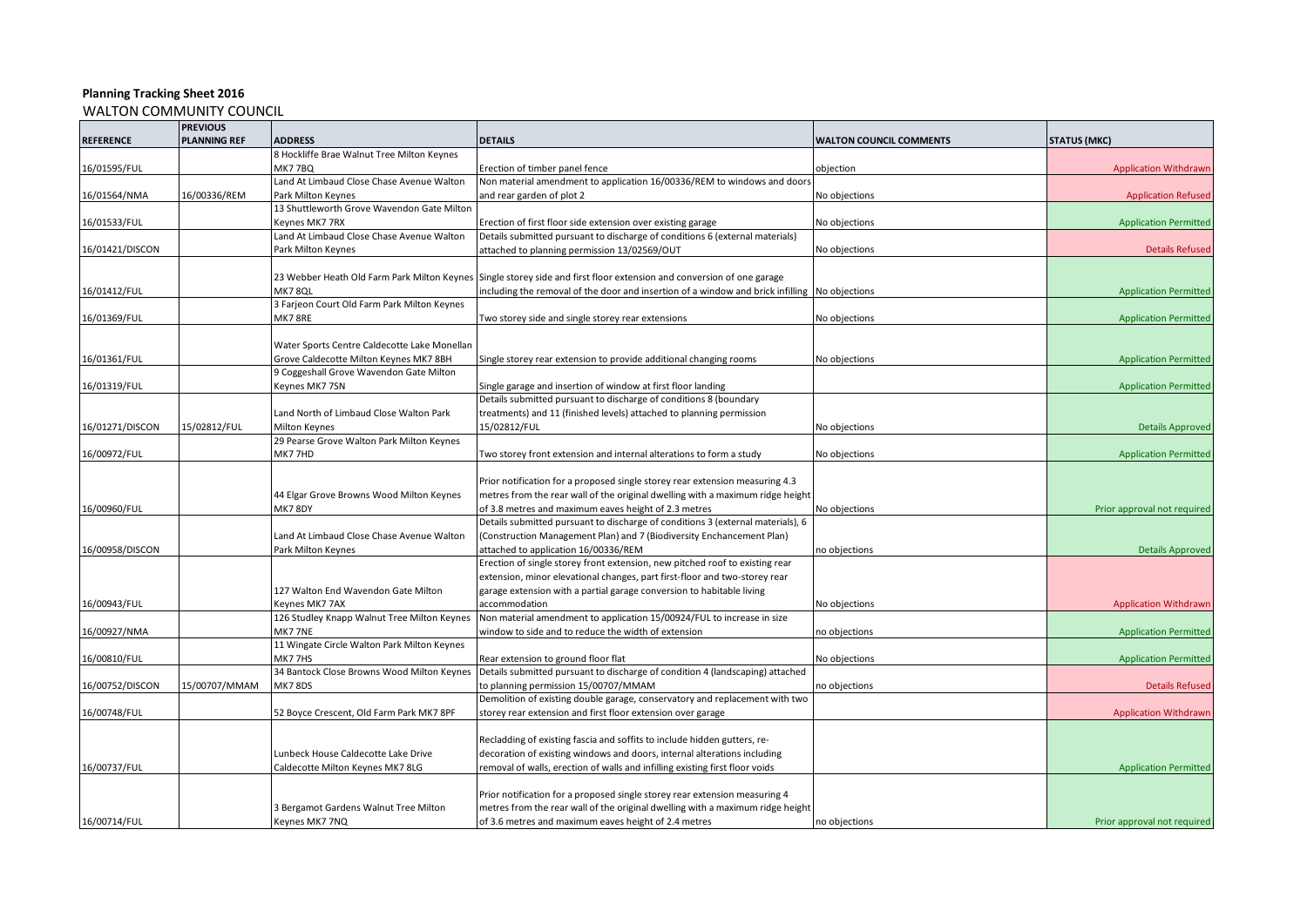|                  | <b>PREVIOUS</b>     |                                              |                                                                                                                       |                                |                              |
|------------------|---------------------|----------------------------------------------|-----------------------------------------------------------------------------------------------------------------------|--------------------------------|------------------------------|
| <b>REFERENCE</b> | <b>PLANNING REF</b> | <b>ADDRESS</b>                               | <b>DETAILS</b>                                                                                                        | <b>WALTON COUNCIL COMMENTS</b> | <b>STATUS (MKC)</b>          |
|                  |                     | 8 Hockliffe Brae Walnut Tree Milton Keynes   |                                                                                                                       |                                |                              |
| 16/01595/FUL     |                     | <b>MK77BQ</b>                                | Erection of timber panel fence                                                                                        | objection                      | <b>Application Withdrawn</b> |
|                  |                     | Land At Limbaud Close Chase Avenue Walton    | Non material amendment to application 16/00336/REM to windows and doors                                               |                                |                              |
| 16/01564/NMA     | 16/00336/REM        | Park Milton Keynes                           | and rear garden of plot 2                                                                                             | No objections                  | <b>Application Refused</b>   |
|                  |                     | 13 Shuttleworth Grove Wavendon Gate Milton   |                                                                                                                       |                                |                              |
| 16/01533/FUL     |                     | Keynes MK7 7RX                               | Erection of first floor side extension over existing garage                                                           | No objections                  | <b>Application Permitted</b> |
|                  |                     | Land At Limbaud Close Chase Avenue Walton    | Details submitted pursuant to discharge of conditions 6 (external materials)                                          |                                |                              |
| 16/01421/DISCON  |                     | Park Milton Keynes                           | attached to planning permission 13/02569/OUT                                                                          | No objections                  | <b>Details Refused</b>       |
|                  |                     |                                              |                                                                                                                       |                                |                              |
|                  |                     |                                              | 23 Webber Heath Old Farm Park Milton Keynes Single storey side and first floor extension and conversion of one garage |                                |                              |
| 16/01412/FUL     |                     | MK78QL                                       | including the removal of the door and insertion of a window and brick infilling No objections                         |                                | <b>Application Permitted</b> |
|                  |                     | 3 Farjeon Court Old Farm Park Milton Keynes  |                                                                                                                       |                                |                              |
| 16/01369/FUL     |                     | MK78RE                                       | Two storey side and single storey rear extensions                                                                     | No objections                  | <b>Application Permitted</b> |
|                  |                     |                                              |                                                                                                                       |                                |                              |
|                  |                     | Water Sports Centre Caldecotte Lake Monellan |                                                                                                                       |                                |                              |
| 16/01361/FUL     |                     | Grove Caldecotte Milton Keynes MK7 8BH       | Single storey rear extension to provide additional changing rooms                                                     | No objections                  | <b>Application Permitted</b> |
|                  |                     | 9 Coggeshall Grove Wavendon Gate Milton      |                                                                                                                       |                                |                              |
| 16/01319/FUL     |                     | Keynes MK7 7SN                               | Single garage and insertion of window at first floor landing                                                          |                                | <b>Application Permitted</b> |
|                  |                     |                                              | Details submitted pursuant to discharge of conditions 8 (boundary                                                     |                                |                              |
|                  |                     | Land North of Limbaud Close Walton Park      | treatments) and 11 (finished levels) attached to planning permission                                                  |                                |                              |
| 16/01271/DISCON  | 15/02812/FUL        | Milton Keynes                                | 15/02812/FUL                                                                                                          | No objections                  | <b>Details Approved</b>      |
|                  |                     | 29 Pearse Grove Walton Park Milton Keynes    |                                                                                                                       |                                |                              |
| 16/00972/FUL     |                     | MK77HD                                       | Two storey front extension and internal alterations to form a study                                                   | No objections                  | <b>Application Permitted</b> |
|                  |                     |                                              |                                                                                                                       |                                |                              |
|                  |                     |                                              | Prior notification for a proposed single storey rear extension measuring 4.3                                          |                                |                              |
|                  |                     | 44 Elgar Grove Browns Wood Milton Keynes     | metres from the rear wall of the original dwelling with a maximum ridge height                                        |                                |                              |
| 16/00960/FUL     |                     | MK78DY                                       | of 3.8 metres and maximum eaves height of 2.3 metres                                                                  | No objections                  | Prior approval not required  |
|                  |                     |                                              | Details submitted pursuant to discharge of conditions 3 (external materials), 6                                       |                                |                              |
|                  |                     | Land At Limbaud Close Chase Avenue Walton    | (Construction Management Plan) and 7 (Biodiversity Enchancement Plan)                                                 |                                |                              |
| 16/00958/DISCON  |                     | Park Milton Keynes                           | attached to application 16/00336/REM                                                                                  | no objections                  | <b>Details Approved</b>      |
|                  |                     |                                              | Erection of single storey front extension, new pitched roof to existing rear                                          |                                |                              |
|                  |                     |                                              | extension, minor elevational changes, part first-floor and two-storey rear                                            |                                |                              |
|                  |                     | 127 Walton End Wavendon Gate Milton          | garage extension with a partial garage conversion to habitable living                                                 |                                |                              |
| 16/00943/FUL     |                     | Keynes MK7 7AX                               | accommodation                                                                                                         | No objections                  | <b>Application Withdrawn</b> |
|                  |                     | 126 Studley Knapp Walnut Tree Milton Keynes  | Non material amendment to application 15/00924/FUL to increase in size                                                |                                |                              |
| 16/00927/NMA     |                     | MK7 7NE                                      | window to side and to reduce the width of extension                                                                   | no objections                  | <b>Application Permitted</b> |
|                  |                     | 11 Wingate Circle Walton Park Milton Keynes  |                                                                                                                       |                                |                              |
| 16/00810/FUL     |                     | MK7 7HS                                      | Rear extension to ground floor flat                                                                                   | No objections                  | <b>Application Permitted</b> |
|                  |                     | 34 Bantock Close Browns Wood Milton Keynes   | Details submitted pursuant to discharge of condition 4 (landscaping) attached                                         |                                |                              |
| 16/00752/DISCON  | 15/00707/MMAM       | <b>MK7 8DS</b>                               | to planning permission 15/00707/MMAM                                                                                  | no objections                  | <b>Details Refused</b>       |
|                  |                     |                                              | Demolition of existing double garage, conservatory and replacement with two                                           |                                |                              |
| 16/00748/FUL     |                     | 52 Boyce Crescent, Old Farm Park MK7 8PF     | storey rear extension and first floor extension over garage                                                           |                                | <b>Application Withdrawn</b> |
|                  |                     |                                              |                                                                                                                       |                                |                              |
|                  |                     |                                              | Recladding of existing fascia and soffits to include hidden gutters, re-                                              |                                |                              |
|                  |                     | Lunbeck House Caldecotte Lake Drive          | decoration of existing windows and doors, internal alterations including                                              |                                |                              |
| 16/00737/FUL     |                     | Caldecotte Milton Keynes MK7 8LG             | emoval of walls, erection of walls and infilling existing first floor voids                                           |                                | <b>Application Permitted</b> |
|                  |                     |                                              |                                                                                                                       |                                |                              |
|                  |                     |                                              | Prior notification for a proposed single storey rear extension measuring 4                                            |                                |                              |
|                  |                     | 3 Bergamot Gardens Walnut Tree Milton        | metres from the rear wall of the original dwelling with a maximum ridge height                                        |                                |                              |
| 16/00714/FUL     |                     | Keynes MK7 7NQ                               | of 3.6 metres and maximum eaves height of 2.4 metres                                                                  | no objections                  | Prior approval not required  |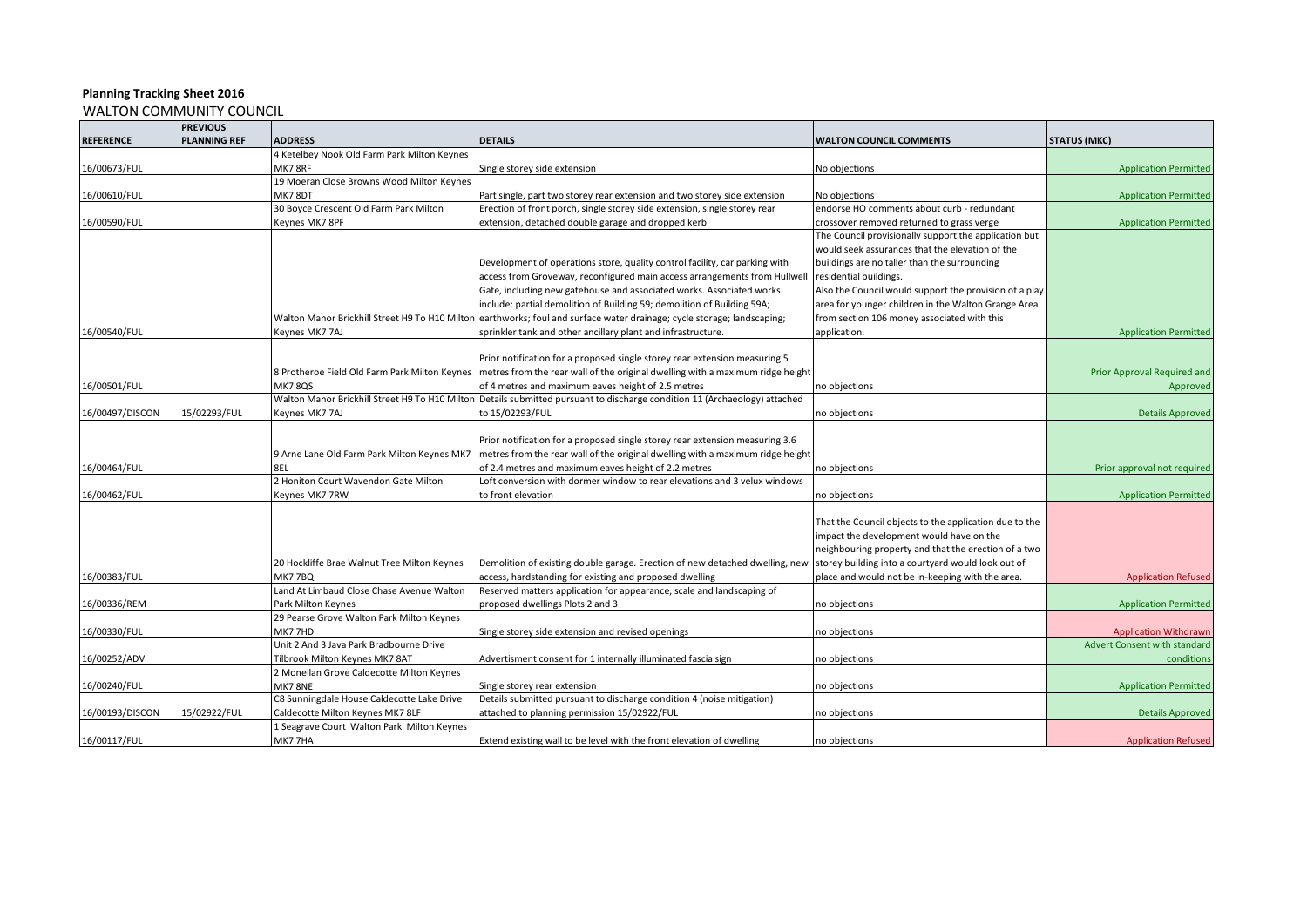|                  | <b>PREVIOUS</b>     |                                                |                                                                                |                                                        |                                     |
|------------------|---------------------|------------------------------------------------|--------------------------------------------------------------------------------|--------------------------------------------------------|-------------------------------------|
| <b>REFERENCE</b> | <b>PLANNING REF</b> | <b>ADDRESS</b>                                 | <b>DETAILS</b>                                                                 | <b>WALTON COUNCIL COMMENTS</b>                         | <b>STATUS (MKC)</b>                 |
|                  |                     | 4 Ketelbey Nook Old Farm Park Milton Keynes    |                                                                                |                                                        |                                     |
| 16/00673/FUL     |                     | MK78RF                                         | Single storey side extension                                                   | No objections                                          | <b>Application Permitted</b>        |
|                  |                     | 19 Moeran Close Browns Wood Milton Keynes      |                                                                                |                                                        |                                     |
| 16/00610/FUL     |                     | MK78DT                                         | Part single, part two storey rear extension and two storey side extension      | No objections                                          | <b>Application Permitted</b>        |
|                  |                     | 30 Boyce Crescent Old Farm Park Milton         | Erection of front porch, single storey side extension, single storey rear      | endorse HO comments about curb - redundant             |                                     |
| 16/00590/FUL     |                     | Keynes MK7 8PF                                 | extension, detached double garage and dropped kerb                             | crossover removed returned to grass verge              | <b>Application Permitted</b>        |
|                  |                     |                                                |                                                                                | The Council provisionally support the application but  |                                     |
|                  |                     |                                                |                                                                                | would seek assurances that the elevation of the        |                                     |
|                  |                     |                                                | Development of operations store, quality control facility, car parking with    | buildings are no taller than the surrounding           |                                     |
|                  |                     |                                                | access from Groveway, reconfigured main access arrangements from Hullwell      | residential buildings.                                 |                                     |
|                  |                     |                                                | Gate, including new gatehouse and associated works. Associated works           | Also the Council would support the provision of a play |                                     |
|                  |                     |                                                | include: partial demolition of Building 59; demolition of Building 59A;        | area for younger children in the Walton Grange Area    |                                     |
|                  |                     | Walton Manor Brickhill Street H9 To H10 Milton | earthworks; foul and surface water drainage; cycle storage; landscaping;       | from section 106 money associated with this            |                                     |
| 16/00540/FUL     |                     | Keynes MK7 7AJ                                 | sprinkler tank and other ancillary plant and infrastructure.                   | application.                                           | <b>Application Permitted</b>        |
|                  |                     |                                                |                                                                                |                                                        |                                     |
|                  |                     |                                                | Prior notification for a proposed single storey rear extension measuring 5     |                                                        |                                     |
|                  |                     | 8 Protheroe Field Old Farm Park Milton Keynes  | metres from the rear wall of the original dwelling with a maximum ridge height |                                                        | Prior Approval Required and         |
| 16/00501/FUL     |                     | <b>MK7 8QS</b>                                 | of 4 metres and maximum eaves height of 2.5 metres                             | no objections                                          | Approved                            |
|                  |                     | Walton Manor Brickhill Street H9 To H10 Milton | Details submitted pursuant to discharge condition 11 (Archaeology) attached    |                                                        |                                     |
| 16/00497/DISCON  | 15/02293/FUL        | Keynes MK7 7AJ                                 | to 15/02293/FUL                                                                | no objections                                          | <b>Details Approved</b>             |
|                  |                     |                                                |                                                                                |                                                        |                                     |
|                  |                     |                                                | Prior notification for a proposed single storey rear extension measuring 3.6   |                                                        |                                     |
|                  |                     | 9 Arne Lane Old Farm Park Milton Keynes MK7    | metres from the rear wall of the original dwelling with a maximum ridge height |                                                        |                                     |
| 16/00464/FUL     |                     | 8EL                                            | of 2.4 metres and maximum eaves height of 2.2 metres                           | no objections                                          | Prior approval not required         |
|                  |                     | 2 Honiton Court Wavendon Gate Milton           | Loft conversion with dormer window to rear elevations and 3 velux windows      |                                                        |                                     |
| 16/00462/FUL     |                     | Keynes MK7 7RW                                 | to front elevation                                                             | no objections                                          | <b>Application Permitted</b>        |
|                  |                     |                                                |                                                                                |                                                        |                                     |
|                  |                     |                                                |                                                                                | That the Council objects to the application due to the |                                     |
|                  |                     |                                                |                                                                                | impact the development would have on the               |                                     |
|                  |                     |                                                |                                                                                | neighbouring property and that the erection of a two   |                                     |
|                  |                     | 20 Hockliffe Brae Walnut Tree Milton Keynes    | Demolition of existing double garage. Erection of new detached dwelling, new   | storey building into a courtyard would look out of     |                                     |
| 16/00383/FUL     |                     | <b>MK77BQ</b>                                  | access, hardstanding for existing and proposed dwelling                        | place and would not be in-keeping with the area.       | <b>Application Refused</b>          |
|                  |                     | Land At Limbaud Close Chase Avenue Walton      | Reserved matters application for appearance, scale and landscaping of          |                                                        |                                     |
| 16/00336/REM     |                     | Park Milton Keynes                             | proposed dwellings Plots 2 and 3                                               | no objections                                          | <b>Application Permitted</b>        |
|                  |                     | 29 Pearse Grove Walton Park Milton Keynes      |                                                                                |                                                        |                                     |
| 16/00330/FUL     |                     | MK77HD                                         | Single storey side extension and revised openings                              | no objections                                          | <b>Application Withdrawn</b>        |
|                  |                     | Unit 2 And 3 Java Park Bradbourne Drive        |                                                                                |                                                        | <b>Advert Consent with standard</b> |
| 16/00252/ADV     |                     | Tilbrook Milton Keynes MK7 8AT                 | Advertisment consent for 1 internally illuminated fascia sign                  | no objections                                          | conditions                          |
|                  |                     | 2 Monellan Grove Caldecotte Milton Keynes      |                                                                                |                                                        |                                     |
| 16/00240/FUL     |                     | MK78NE                                         | Single storey rear extension                                                   | no objections                                          | <b>Application Permitted</b>        |
|                  |                     | C8 Sunningdale House Caldecotte Lake Drive     | Details submitted pursuant to discharge condition 4 (noise mitigation)         |                                                        |                                     |
| 16/00193/DISCON  | 15/02922/FUL        | Caldecotte Milton Keynes MK7 8LF               | attached to planning permission 15/02922/FUL                                   | no objections                                          | <b>Details Approved</b>             |
|                  |                     | 1 Seagrave Court Walton Park Milton Keynes     |                                                                                |                                                        |                                     |
| 16/00117/FUL     |                     | MK77HA                                         | Extend existing wall to be level with the front elevation of dwelling          | no objections                                          | <b>Application Refused</b>          |